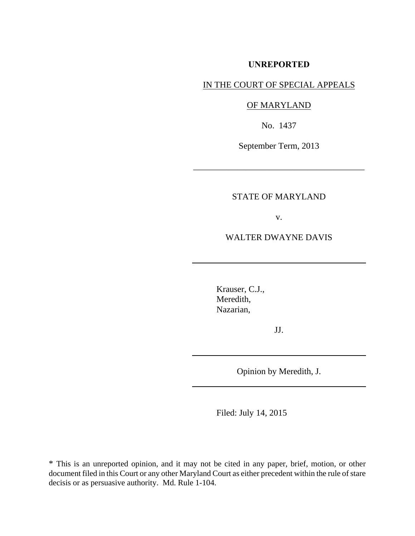### **UNREPORTED**

# IN THE COURT OF SPECIAL APPEALS

# OF MARYLAND

No. 1437

September Term, 2013

\_\_\_\_\_\_\_\_\_\_\_\_\_\_\_\_\_\_\_\_\_\_\_\_\_\_\_\_\_\_\_\_\_\_\_\_\_\_\_

# STATE OF MARYLAND

v.

## WALTER DWAYNE DAVIS

Krauser, C.J., Meredith, Nazarian,

JJ.

Opinion by Meredith, J.

Filed: July 14, 2015

\* This is an unreported opinion, and it may not be cited in any paper, brief, motion, or other document filed in this Court or any other Maryland Court as either precedent within the rule of stare decisis or as persuasive authority. Md. Rule 1-104.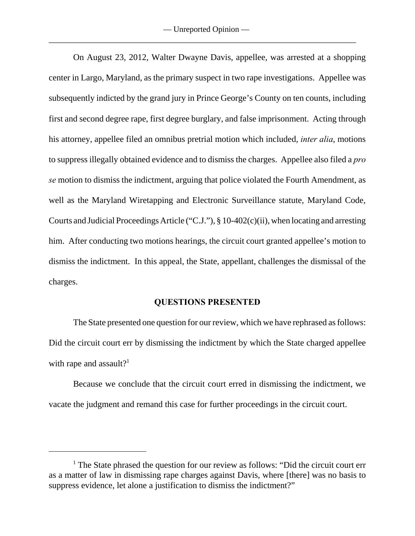On August 23, 2012, Walter Dwayne Davis, appellee, was arrested at a shopping center in Largo, Maryland, as the primary suspect in two rape investigations. Appellee was subsequently indicted by the grand jury in Prince George's County on ten counts, including first and second degree rape, first degree burglary, and false imprisonment. Acting through his attorney, appellee filed an omnibus pretrial motion which included, *inter alia*, motions to suppress illegally obtained evidence and to dismiss the charges. Appellee also filed a *pro se* motion to dismiss the indictment, arguing that police violated the Fourth Amendment, as well as the Maryland Wiretapping and Electronic Surveillance statute, Maryland Code, Courts and Judicial Proceedings Article ("C.J."), § 10-402(c)(ii), when locating and arresting him. After conducting two motions hearings, the circuit court granted appellee's motion to dismiss the indictment. In this appeal, the State, appellant, challenges the dismissal of the charges.

#### **QUESTIONS PRESENTED**

The State presented one question for our review, which we have rephrased as follows: Did the circuit court err by dismissing the indictment by which the State charged appellee with rape and assault?<sup>1</sup>

Because we conclude that the circuit court erred in dismissing the indictment, we vacate the judgment and remand this case for further proceedings in the circuit court.

 $<sup>1</sup>$  The State phrased the question for our review as follows: "Did the circuit court err</sup> as a matter of law in dismissing rape charges against Davis, where [there] was no basis to suppress evidence, let alone a justification to dismiss the indictment?"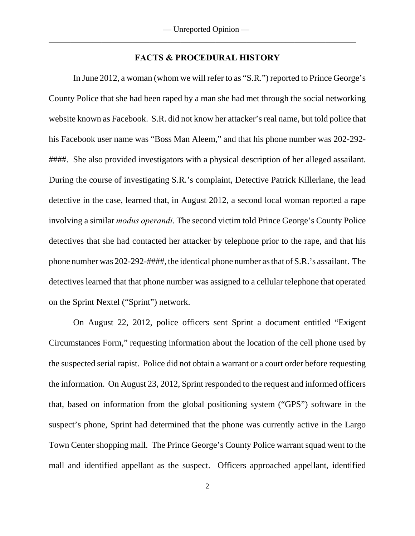### **FACTS & PROCEDURAL HISTORY**

In June 2012, a woman (whom we will refer to as "S.R.") reported to Prince George's County Police that she had been raped by a man she had met through the social networking website known as Facebook. S.R. did not know her attacker's real name, but told police that his Facebook user name was "Boss Man Aleem," and that his phone number was 202-292- ####. She also provided investigators with a physical description of her alleged assailant. During the course of investigating S.R.'s complaint, Detective Patrick Killerlane, the lead detective in the case, learned that, in August 2012, a second local woman reported a rape involving a similar *modus operandi*. The second victim told Prince George's County Police detectives that she had contacted her attacker by telephone prior to the rape, and that his phone number was 202-292-####, the identical phone number as that of S.R.'s assailant. The detectives learned that that phone number was assigned to a cellular telephone that operated on the Sprint Nextel ("Sprint") network.

On August 22, 2012, police officers sent Sprint a document entitled "Exigent Circumstances Form," requesting information about the location of the cell phone used by the suspected serial rapist. Police did not obtain a warrant or a court order before requesting the information. On August 23, 2012, Sprint responded to the request and informed officers that, based on information from the global positioning system ("GPS") software in the suspect's phone, Sprint had determined that the phone was currently active in the Largo Town Center shopping mall. The Prince George's County Police warrant squad went to the mall and identified appellant as the suspect. Officers approached appellant, identified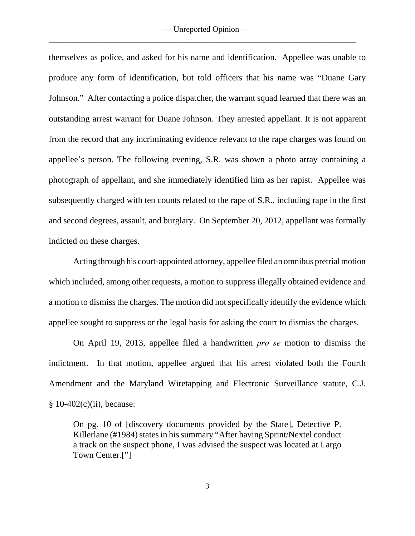themselves as police, and asked for his name and identification. Appellee was unable to produce any form of identification, but told officers that his name was "Duane Gary Johnson." After contacting a police dispatcher, the warrant squad learned that there was an outstanding arrest warrant for Duane Johnson. They arrested appellant. It is not apparent from the record that any incriminating evidence relevant to the rape charges was found on appellee's person. The following evening, S.R. was shown a photo array containing a photograph of appellant, and she immediately identified him as her rapist. Appellee was subsequently charged with ten counts related to the rape of S.R., including rape in the first and second degrees, assault, and burglary. On September 20, 2012, appellant was formally indicted on these charges.

Acting through his court-appointed attorney, appellee filed an omnibus pretrial motion which included, among other requests, a motion to suppress illegally obtained evidence and a motion to dismiss the charges. The motion did not specifically identify the evidence which appellee sought to suppress or the legal basis for asking the court to dismiss the charges.

On April 19, 2013, appellee filed a handwritten *pro se* motion to dismiss the indictment. In that motion, appellee argued that his arrest violated both the Fourth Amendment and the Maryland Wiretapping and Electronic Surveillance statute, C.J.  $§ 10-402(c)(ii)$ , because:

On pg. 10 of [discovery documents provided by the State], Detective P. Killerlane (#1984) states in his summary "After having Sprint/Nextel conduct a track on the suspect phone, I was advised the suspect was located at Largo Town Center.["]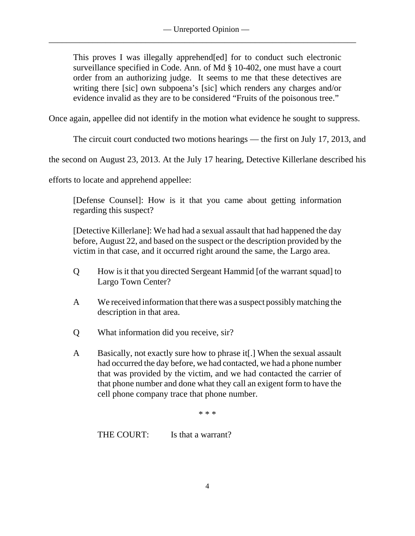\_\_\_\_\_\_\_\_\_\_\_\_\_\_\_\_\_\_\_\_\_\_\_\_\_\_\_\_\_\_\_\_\_\_\_\_\_\_\_\_\_\_\_\_\_\_\_\_\_\_\_\_\_\_\_\_\_\_\_\_\_\_\_\_\_\_\_\_\_\_

This proves I was illegally apprehend[ed] for to conduct such electronic surveillance specified in Code. Ann. of Md § 10-402, one must have a court order from an authorizing judge. It seems to me that these detectives are writing there [sic] own subpoena's [sic] which renders any charges and/or evidence invalid as they are to be considered "Fruits of the poisonous tree."

Once again, appellee did not identify in the motion what evidence he sought to suppress.

The circuit court conducted two motions hearings — the first on July 17, 2013, and

the second on August 23, 2013. At the July 17 hearing, Detective Killerlane described his

efforts to locate and apprehend appellee:

[Defense Counsel]: How is it that you came about getting information regarding this suspect?

[Detective Killerlane]: We had had a sexual assault that had happened the day before, August 22, and based on the suspect or the description provided by the victim in that case, and it occurred right around the same, the Largo area.

- Q How is it that you directed Sergeant Hammid [of the warrant squad] to Largo Town Center?
- A We received information that there was a suspect possibly matching the description in that area.
- Q What information did you receive, sir?
- A Basically, not exactly sure how to phrase it[.] When the sexual assault had occurred the day before, we had contacted, we had a phone number that was provided by the victim, and we had contacted the carrier of that phone number and done what they call an exigent form to have the cell phone company trace that phone number.

\* \* \*

THE COURT: Is that a warrant?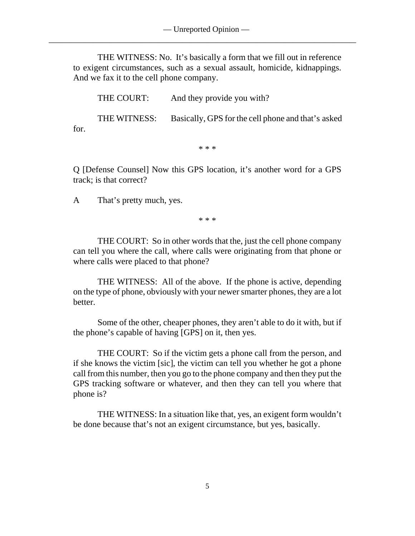THE WITNESS: No. It's basically a form that we fill out in reference to exigent circumstances, such as a sexual assault, homicide, kidnappings. And we fax it to the cell phone company.

THE COURT: And they provide you with?

THE WITNESS: Basically, GPS for the cell phone and that's asked for.

\* \* \*

Q [Defense Counsel] Now this GPS location, it's another word for a GPS track; is that correct?

A That's pretty much, yes.

\* \* \*

THE COURT: So in other words that the, just the cell phone company can tell you where the call, where calls were originating from that phone or where calls were placed to that phone?

THE WITNESS: All of the above. If the phone is active, depending on the type of phone, obviously with your newer smarter phones, they are a lot better.

Some of the other, cheaper phones, they aren't able to do it with, but if the phone's capable of having [GPS] on it, then yes.

THE COURT: So if the victim gets a phone call from the person, and if she knows the victim [sic], the victim can tell you whether he got a phone call from this number, then you go to the phone company and then they put the GPS tracking software or whatever, and then they can tell you where that phone is?

THE WITNESS: In a situation like that, yes, an exigent form wouldn't be done because that's not an exigent circumstance, but yes, basically.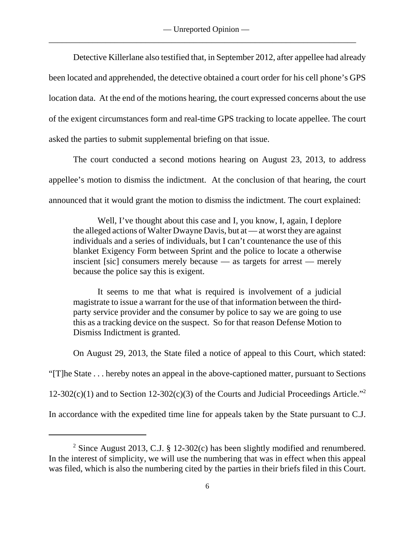\_\_\_\_\_\_\_\_\_\_\_\_\_\_\_\_\_\_\_\_\_\_\_\_\_\_\_\_\_\_\_\_\_\_\_\_\_\_\_\_\_\_\_\_\_\_\_\_\_\_\_\_\_\_\_\_\_\_\_\_\_\_\_\_\_\_\_\_\_\_

Detective Killerlane also testified that, in September 2012, after appellee had already been located and apprehended, the detective obtained a court order for his cell phone's GPS location data. At the end of the motions hearing, the court expressed concerns about the use of the exigent circumstances form and real-time GPS tracking to locate appellee. The court asked the parties to submit supplemental briefing on that issue.

The court conducted a second motions hearing on August 23, 2013, to address appellee's motion to dismiss the indictment. At the conclusion of that hearing, the court announced that it would grant the motion to dismiss the indictment. The court explained:

Well, I've thought about this case and I, you know, I, again, I deplore the alleged actions of Walter Dwayne Davis, but at — at worst they are against individuals and a series of individuals, but I can't countenance the use of this blanket Exigency Form between Sprint and the police to locate a otherwise inscient [sic] consumers merely because — as targets for arrest — merely because the police say this is exigent.

It seems to me that what is required is involvement of a judicial magistrate to issue a warrant for the use of that information between the thirdparty service provider and the consumer by police to say we are going to use this as a tracking device on the suspect. So for that reason Defense Motion to Dismiss Indictment is granted.

On August 29, 2013, the State filed a notice of appeal to this Court, which stated:

"[T]he State . . . hereby notes an appeal in the above-captioned matter, pursuant to Sections

12-302(c)(1) and to Section 12-302(c)(3) of the Courts and Judicial Proceedings Article."<sup>2</sup>

In accordance with the expedited time line for appeals taken by the State pursuant to C.J.

<sup>&</sup>lt;sup>2</sup> Since August 2013, C.J. § 12-302(c) has been slightly modified and renumbered. In the interest of simplicity, we will use the numbering that was in effect when this appeal was filed, which is also the numbering cited by the parties in their briefs filed in this Court.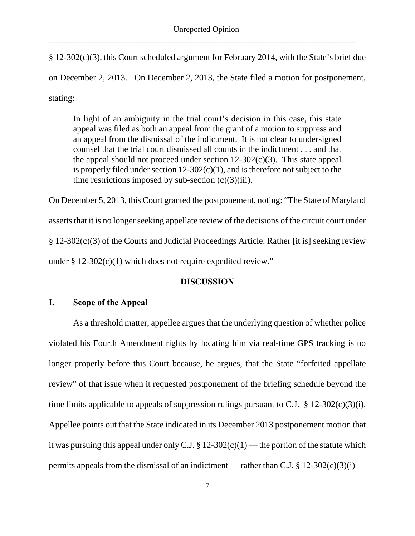§ 12-302(c)(3), this Court scheduled argument for February 2014, with the State's brief due on December 2, 2013. On December 2, 2013, the State filed a motion for postponement, stating:

In light of an ambiguity in the trial court's decision in this case, this state appeal was filed as both an appeal from the grant of a motion to suppress and an appeal from the dismissal of the indictment. It is not clear to undersigned counsel that the trial court dismissed all counts in the indictment . . . and that the appeal should not proceed under section  $12-302(c)(3)$ . This state appeal is properly filed under section  $12-302(c)(1)$ , and is therefore not subject to the time restrictions imposed by sub-section  $(c)(3)(iii)$ .

On December 5, 2013, this Court granted the postponement, noting: "The State of Maryland asserts that it is no longer seeking appellate review of the decisions of the circuit court under § 12-302(c)(3) of the Courts and Judicial Proceedings Article. Rather [it is] seeking review under  $\S$  12-302(c)(1) which does not require expedited review."

# **DISCUSSION**

## **I. Scope of the Appeal**

As a threshold matter, appellee argues that the underlying question of whether police violated his Fourth Amendment rights by locating him via real-time GPS tracking is no longer properly before this Court because, he argues, that the State "forfeited appellate review" of that issue when it requested postponement of the briefing schedule beyond the time limits applicable to appeals of suppression rulings pursuant to C.J.  $\S$  12-302(c)(3)(i). Appellee points out that the State indicated in its December 2013 postponement motion that it was pursuing this appeal under only C.J. §  $12-302(c)(1)$  — the portion of the statute which permits appeals from the dismissal of an indictment — rather than C.J. § 12-302(c)(3)(i) —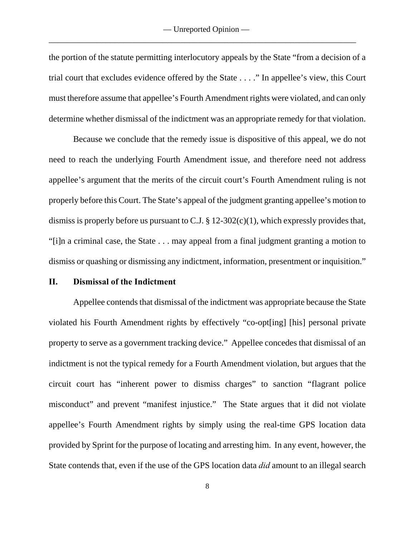the portion of the statute permitting interlocutory appeals by the State "from a decision of a trial court that excludes evidence offered by the State . . . ." In appellee's view, this Court must therefore assume that appellee's Fourth Amendment rights were violated, and can only determine whether dismissal of the indictment was an appropriate remedy for that violation.

Because we conclude that the remedy issue is dispositive of this appeal, we do not need to reach the underlying Fourth Amendment issue, and therefore need not address appellee's argument that the merits of the circuit court's Fourth Amendment ruling is not properly before this Court. The State's appeal of the judgment granting appellee's motion to dismiss is properly before us pursuant to C.J.  $\S 12-302(c)(1)$ , which expressly provides that, "[i]n a criminal case, the State . . . may appeal from a final judgment granting a motion to dismiss or quashing or dismissing any indictment, information, presentment or inquisition."

# **II. Dismissal of the Indictment**

Appellee contends that dismissal of the indictment was appropriate because the State violated his Fourth Amendment rights by effectively "co-opt[ing] [his] personal private property to serve as a government tracking device." Appellee concedes that dismissal of an indictment is not the typical remedy for a Fourth Amendment violation, but argues that the circuit court has "inherent power to dismiss charges" to sanction "flagrant police misconduct" and prevent "manifest injustice." The State argues that it did not violate appellee's Fourth Amendment rights by simply using the real-time GPS location data provided by Sprint for the purpose of locating and arresting him. In any event, however, the State contends that, even if the use of the GPS location data *did* amount to an illegal search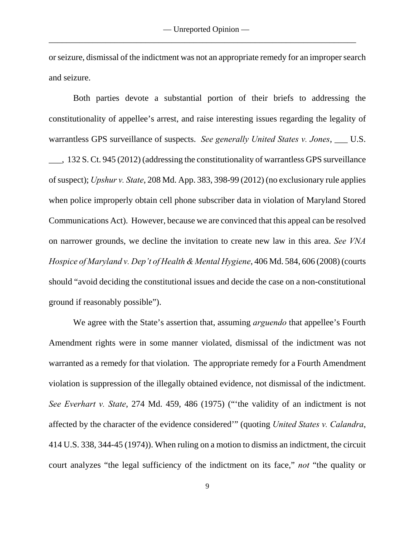or seizure, dismissal of the indictment was not an appropriate remedy for an improper search and seizure.

Both parties devote a substantial portion of their briefs to addressing the constitutionality of appellee's arrest, and raise interesting issues regarding the legality of warrantless GPS surveillance of suspects. *See generally United States v. Jones*, \_\_\_ U.S. \_\_\_, 132 S. Ct. 945 (2012) (addressing the constitutionality of warrantless GPS surveillance of suspect); *Upshur v. State*, 208 Md. App. 383, 398-99 (2012) (no exclusionary rule applies when police improperly obtain cell phone subscriber data in violation of Maryland Stored Communications Act). However, because we are convinced that this appeal can be resolved on narrower grounds, we decline the invitation to create new law in this area. *See VNA Hospice of Maryland v. Dep't of Health & Mental Hygiene*, 406 Md. 584, 606 (2008) (courts should "avoid deciding the constitutional issues and decide the case on a non-constitutional ground if reasonably possible").

We agree with the State's assertion that, assuming *arguendo* that appellee's Fourth Amendment rights were in some manner violated, dismissal of the indictment was not warranted as a remedy for that violation. The appropriate remedy for a Fourth Amendment violation is suppression of the illegally obtained evidence, not dismissal of the indictment. *See Everhart v. State*, 274 Md. 459, 486 (1975) ("'the validity of an indictment is not affected by the character of the evidence considered'" (quoting *United States v. Calandra*, 414 U.S. 338, 344-45 (1974)). When ruling on a motion to dismiss an indictment, the circuit court analyzes "the legal sufficiency of the indictment on its face," *not* "the quality or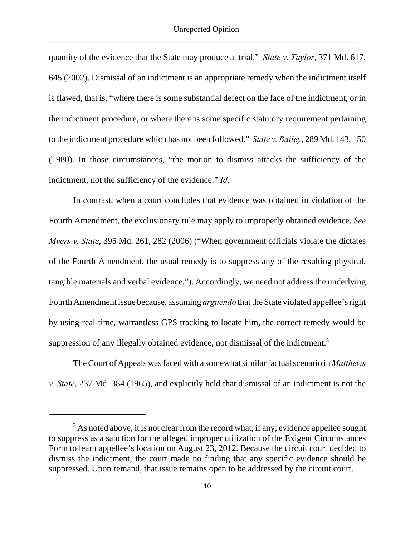quantity of the evidence that the State may produce at trial." *State v. Taylor*, 371 Md. 617, 645 (2002). Dismissal of an indictment is an appropriate remedy when the indictment itself is flawed, that is, "where there is some substantial defect on the face of the indictment, or in the indictment procedure, or where there is some specific statutory requirement pertaining to the indictment procedure which has not been followed." *State v. Bailey*, 289 Md. 143, 150 (1980). In those circumstances, "the motion to dismiss attacks the sufficiency of the indictment, not the sufficiency of the evidence." *Id*.

In contrast, when a court concludes that evidence was obtained in violation of the Fourth Amendment, the exclusionary rule may apply to improperly obtained evidence. *See Myers v. State*, 395 Md. 261, 282 (2006) ("When government officials violate the dictates of the Fourth Amendment, the usual remedy is to suppress any of the resulting physical, tangible materials and verbal evidence."). Accordingly, we need not address the underlying Fourth Amendment issue because, assuming *arguendo* that the State violated appellee's right by using real-time, warrantless GPS tracking to locate him, the correct remedy would be suppression of any illegally obtained evidence, not dismissal of the indictment.<sup>3</sup>

The Court of Appeals was faced with a somewhat similar factual scenario in *Matthews v. State*, 237 Md. 384 (1965), and explicitly held that dismissal of an indictment is not the

 $3$  As noted above, it is not clear from the record what, if any, evidence appellee sought to suppress as a sanction for the alleged improper utilization of the Exigent Circumstances Form to learn appellee's location on August 23, 2012. Because the circuit court decided to dismiss the indictment, the court made no finding that any specific evidence should be suppressed. Upon remand, that issue remains open to be addressed by the circuit court.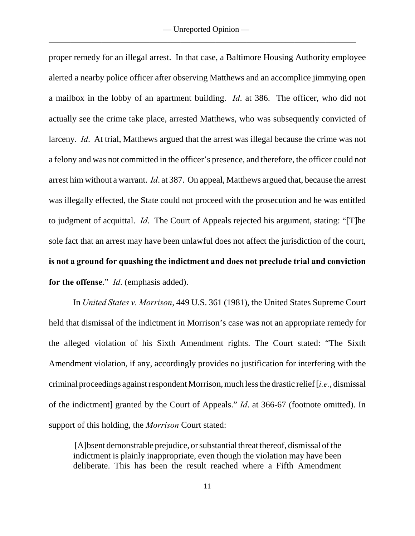proper remedy for an illegal arrest. In that case, a Baltimore Housing Authority employee alerted a nearby police officer after observing Matthews and an accomplice jimmying open a mailbox in the lobby of an apartment building. *Id*. at 386. The officer, who did not actually see the crime take place, arrested Matthews, who was subsequently convicted of larceny. *Id*. At trial, Matthews argued that the arrest was illegal because the crime was not a felony and was not committed in the officer's presence, and therefore, the officer could not arrest him without a warrant. *Id*. at 387. On appeal, Matthews argued that, because the arrest was illegally effected, the State could not proceed with the prosecution and he was entitled to judgment of acquittal. *Id*. The Court of Appeals rejected his argument, stating: "[T]he sole fact that an arrest may have been unlawful does not affect the jurisdiction of the court, **is not a ground for quashing the indictment and does not preclude trial and conviction for the offense**." *Id*. (emphasis added).

In *United States v. Morrison*, 449 U.S. 361 (1981), the United States Supreme Court held that dismissal of the indictment in Morrison's case was not an appropriate remedy for the alleged violation of his Sixth Amendment rights. The Court stated: "The Sixth Amendment violation, if any, accordingly provides no justification for interfering with the criminal proceedings against respondent Morrison, much less the drastic relief [*i.e.*, dismissal of the indictment] granted by the Court of Appeals." *Id*. at 366-67 (footnote omitted). In support of this holding, the *Morrison* Court stated:

 [A]bsent demonstrable prejudice, or substantial threat thereof, dismissal of the indictment is plainly inappropriate, even though the violation may have been deliberate. This has been the result reached where a Fifth Amendment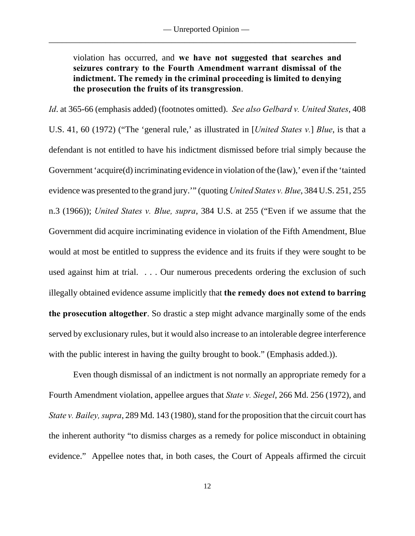violation has occurred, and **we have not suggested that searches and seizures contrary to the Fourth Amendment warrant dismissal of the indictment. The remedy in the criminal proceeding is limited to denying the prosecution the fruits of its transgression**.

*Id*. at 365-66 (emphasis added) (footnotes omitted). *See also Gelbard v. United States*, 408 U.S. 41, 60 (1972) ("The 'general rule,' as illustrated in [*United States v.*] *Blue*, is that a defendant is not entitled to have his indictment dismissed before trial simply because the Government 'acquire(d) incriminating evidence in violation of the (law), 'even if the 'tainted evidence was presented to the grand jury.'" (quoting *United States v. Blue*, 384 U.S. 251, 255 n.3 (1966)); *United States v. Blue, supra*, 384 U.S. at 255 ("Even if we assume that the Government did acquire incriminating evidence in violation of the Fifth Amendment, Blue would at most be entitled to suppress the evidence and its fruits if they were sought to be used against him at trial. . . . Our numerous precedents ordering the exclusion of such illegally obtained evidence assume implicitly that **the remedy does not extend to barring the prosecution altogether**. So drastic a step might advance marginally some of the ends served by exclusionary rules, but it would also increase to an intolerable degree interference with the public interest in having the guilty brought to book." (Emphasis added.)).

Even though dismissal of an indictment is not normally an appropriate remedy for a Fourth Amendment violation, appellee argues that *State v. Siegel*, 266 Md. 256 (1972), and *State v. Bailey, supra*, 289 Md. 143 (1980), stand for the proposition that the circuit court has the inherent authority "to dismiss charges as a remedy for police misconduct in obtaining evidence." Appellee notes that, in both cases, the Court of Appeals affirmed the circuit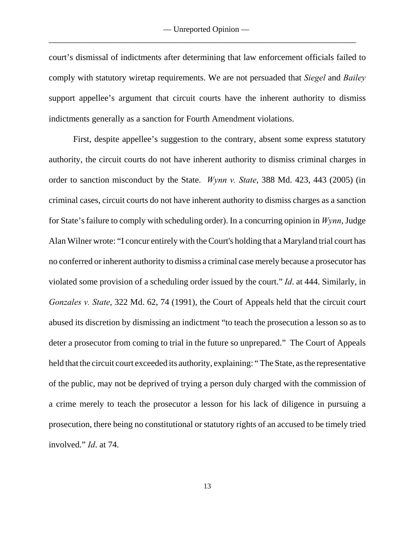court's dismissal of indictments after determining that law enforcement officials failed to comply with statutory wiretap requirements. We are not persuaded that *Siegel* and *Bailey* support appellee's argument that circuit courts have the inherent authority to dismiss indictments generally as a sanction for Fourth Amendment violations.

First, despite appellee's suggestion to the contrary, absent some express statutory authority, the circuit courts do not have inherent authority to dismiss criminal charges in order to sanction misconduct by the State. *Wynn v. State*, 388 Md. 423, 443 (2005) (in criminal cases, circuit courts do not have inherent authority to dismiss charges as a sanction for State's failure to comply with scheduling order). In a concurring opinion in *Wynn*, Judge Alan Wilner wrote: "I concur entirely with the Court's holding that a Maryland trial court has no conferred or inherent authority to dismiss a criminal case merely because a prosecutor has violated some provision of a scheduling order issued by the court." *Id*. at 444. Similarly, in *Gonzales v. State*, 322 Md. 62, 74 (1991), the Court of Appeals held that the circuit court abused its discretion by dismissing an indictment "to teach the prosecution a lesson so as to deter a prosecutor from coming to trial in the future so unprepared." The Court of Appeals held that the circuit court exceeded its authority, explaining: " The State, as the representative of the public, may not be deprived of trying a person duly charged with the commission of a crime merely to teach the prosecutor a lesson for his lack of diligence in pursuing a prosecution, there being no constitutional or statutory rights of an accused to be timely tried involved." *Id*. at 74.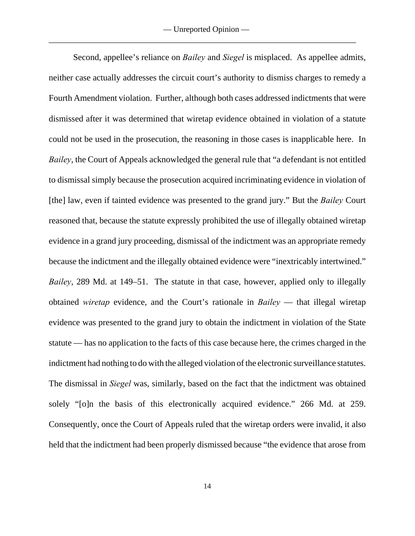Second, appellee's reliance on *Bailey* and *Siegel* is misplaced. As appellee admits, neither case actually addresses the circuit court's authority to dismiss charges to remedy a Fourth Amendment violation. Further, although both cases addressed indictments that were dismissed after it was determined that wiretap evidence obtained in violation of a statute could not be used in the prosecution, the reasoning in those cases is inapplicable here. In *Bailey*, the Court of Appeals acknowledged the general rule that "a defendant is not entitled to dismissal simply because the prosecution acquired incriminating evidence in violation of [the] law, even if tainted evidence was presented to the grand jury." But the *Bailey* Court reasoned that, because the statute expressly prohibited the use of illegally obtained wiretap evidence in a grand jury proceeding, dismissal of the indictment was an appropriate remedy because the indictment and the illegally obtained evidence were "inextricably intertwined." *Bailey*, 289 Md. at 149–51. The statute in that case, however, applied only to illegally obtained *wiretap* evidence, and the Court's rationale in *Bailey* — that illegal wiretap evidence was presented to the grand jury to obtain the indictment in violation of the State statute — has no application to the facts of this case because here, the crimes charged in the indictment had nothing to do with the alleged violation of the electronic surveillance statutes. The dismissal in *Siegel* was, similarly, based on the fact that the indictment was obtained solely "[o]n the basis of this electronically acquired evidence." 266 Md. at 259. Consequently, once the Court of Appeals ruled that the wiretap orders were invalid, it also held that the indictment had been properly dismissed because "the evidence that arose from